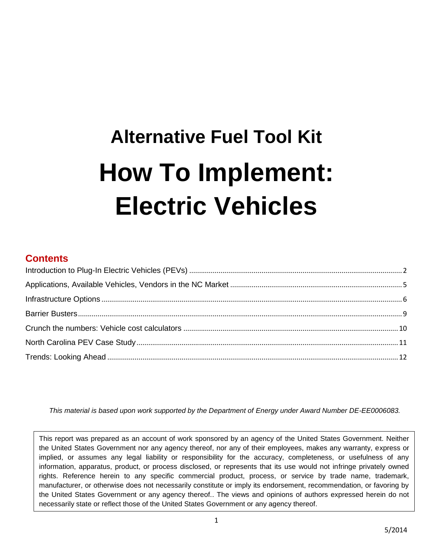# **Alternative Fuel Tool Kit How To Implement: Electric Vehicles**

## **Contents**

*This material is based upon work supported by the Department of Energy under Award Number DE-EE0006083.*

This report was prepared as an account of work sponsored by an agency of the United States Government. Neither the United States Government nor any agency thereof, nor any of their employees, makes any warranty, express or implied, or assumes any legal liability or responsibility for the accuracy, completeness, or usefulness of any information, apparatus, product, or process disclosed, or represents that its use would not infringe privately owned rights. Reference herein to any specific commercial product, process, or service by trade name, trademark, manufacturer, or otherwise does not necessarily constitute or imply its endorsement, recommendation, or favoring by the United States Government or any agency thereof.. The views and opinions of authors expressed herein do not necessarily state or reflect those of the United States Government or any agency thereof.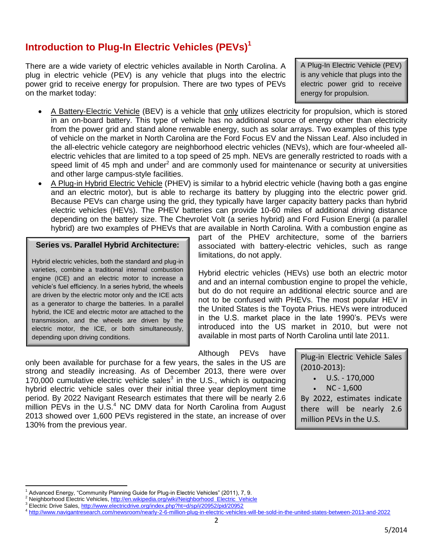# <span id="page-1-0"></span>**Introduction to Plug-In Electric Vehicles (PEVs)<sup>1</sup>**

There are a wide variety of electric vehicles available in North Carolina. A plug in electric vehicle (PEV) is any vehicle that plugs into the electric power grid to receive energy for propulsion. There are two types of PEVs on the market today:

A Plug-In Electric Vehicle (PEV) is any vehicle that plugs into the electric power grid to receive energy for propulsion.

- A Battery-Electric Vehicle (BEV) is a vehicle that only utilizes electricity for propulsion, which is stored in an on-board battery. This type of vehicle has no additional source of energy other than electricity from the power grid and stand alone renwable energy, such as solar arrays. Two examples of this type of vehicle on the market in North Carolina are the Ford Focus EV and the Nissan Leaf. Also included in the all-electric vehicle category are neighborhood electric vehicles (NEVs), which are four-wheeled allelectric vehicles that are limited to a top speed of 25 mph. NEVs are generally restricted to roads with a speed limit of 45 mph and under<sup>2</sup> and are commonly used for maintenance or security at universities and other large campus-style facilities.
- A Plug-in Hybrid Electric Vehicle (PHEV) is similar to a hybrid electric vehicle (having both a gas engine and an electric motor), but is able to recharge its battery by plugging into the electric power grid. Because PEVs can charge using the grid, they typically have larger capacity battery packs than hybrid electric vehicles (HEVs). The PHEV batteries can provide 10-60 miles of additional driving distance depending on the battery size. The Chevrolet Volt (a series hybrid) and Ford Fusion Energi (a parallel hybrid) are two examples of PHEVs that are available in North Carolina. With a combustion engine as

#### **Series vs. Parallel Hybrid Architecture:**

Hybrid electric vehicles, both the standard and plug-in varieties, combine a traditional internal combustion engine (ICE) and an electric motor to increase a vehicle's fuel efficiency. In a series hybrid, the wheels are driven by the electric motor only and the ICE acts as a generator to charge the batteries. In a parallel hybrid, the ICE and electric motor are attached to the transmission, and the wheels are driven by the electric motor, the ICE, or both simultaneously, depending upon driving conditions.

part of the PHEV architecture, some of the barriers associated with battery-electric vehicles, such as range limitations, do not apply.

Hybrid electric vehicles (HEVs) use both an electric motor and and an internal combustion engine to propel the vehicle, but do do not require an additional electric source and are not to be confused with PHEVs. The most popular HEV in the United States is the Toyota Prius. HEVs were introduced in the U.S. market place in the late 1990's. PEVs were introduced into the US market in 2010, but were not available in most parts of North Carolina until late 2011.

Although PEVs have

only been available for purchase for a few years, the sales in the US are strong and steadily increasing. As of December 2013, there were over 170,000 cumulative electric vehicle sales<sup>3</sup> in the U.S., which is outpacing hybrid electric vehicle sales over their initial three year deployment time period. By 2022 Navigant Research estimates that there will be nearly 2.6 million PEVs in the  $\overline{U}$ .S.<sup>4</sup> NC DMV data for North Carolina from August 2013 showed over 1,600 PEVs registered in the state, an increase of over 130% from the previous year.

Plug-in Electric Vehicle Sales (2010-2013):

- $\bullet$  U.S. 170,000
- NC 1,600

By 2022, estimates indicate there will be nearly 2.6 million PEVs in the U.S.

 $\overline{\phantom{a}}$ 

Advanced Energy, "Community Planning Guide for Plug-in Electric Vehicles" (2011), 7, 9.

<sup>&</sup>lt;sup>2</sup> Neighborhood Electric Vehicles, http://en.wikipedia.org/wiki/Neighborhood\_Electric\_Vehicle Electric Drive Sales,<http://www.electricdrive.org/index.php?ht=d/sp/i/20952/pid/20952>

<sup>4</sup> <http://www.navigantresearch.com/newsroom/nearly-2-6-million-plug-in-electric-vehicles-will-be-sold-in-the-united-states-between-2013-and-2022>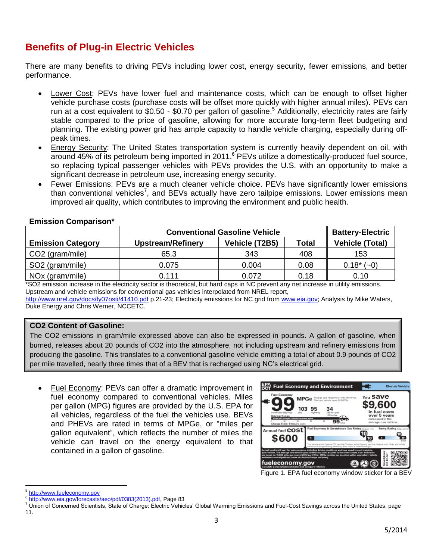# **Benefits of Plug-in Electric Vehicles**

There are many benefits to driving PEVs including lower cost, energy security, fewer emissions, and better performance.

- Lower Cost: PEVs have lower fuel and maintenance costs, which can be enough to offset higher vehicle purchase costs (purchase costs will be offset more quickly with higher annual miles). PEVs can run at a cost equivalent to \$0.50 - \$0.70 per gallon of gasoline.<sup>5</sup> Additionally, electricity rates are fairly stable compared to the price of gasoline, allowing for more accurate long-term fleet budgeting and planning. The existing power grid has ample capacity to handle vehicle charging, especially during offpeak times.
- Energy Security: The United States transportation system is currently heavily dependent on oil, with around 45% of its petroleum being imported in 2011.<sup>6</sup> PEVs utilize a domestically-produced fuel source, so replacing typical passenger vehicles with PEVs provides the U.S. with an opportunity to make a significant decrease in petroleum use, increasing energy security.
- Fewer Emissions: PEVs are a much cleaner vehicle choice. PEVs have significantly lower emissions than conventional vehicles<sup>7</sup>, and BEVs actually have zero tailpipe emissions. Lower emissions mean improved air quality, which contributes to improving the environment and public health.

|                             | <b>Conventional Gasoline Vehicle</b> | <b>Battery-Electric</b> |              |                        |  |  |
|-----------------------------|--------------------------------------|-------------------------|--------------|------------------------|--|--|
| <b>Emission Category</b>    | <b>Upstream/Refinery</b>             | Vehicle (T2B5)          | <b>Total</b> | <b>Vehicle (Total)</b> |  |  |
| $\vert$ CO2 (gram/mile)     | 65.3                                 | 343                     | 408          | 153                    |  |  |
| SO2 (gram/mile)             | 0.075                                | 0.004                   | 0.08         | $0.18*$<br>$(-0)$      |  |  |
| NO <sub>x</sub> (gram/mile) | 0.111                                | 0.072                   | 0.18         | 0.10                   |  |  |

#### **Emission Comparison\***

\*SO2 emission increase in the electricity sector is theoretical, but hard caps in NC prevent any net increase in utility emissions. Upstream and vehicle emissions for conventional gas vehicles interpolated from NREL report,

<http://www.nrel.gov/docs/fy07osti/41410.pdf> p.21-23; Electricity emissions for NC grid from [www.eia.gov;](http://www.eia.gov/) Analysis by Mike Waters, Duke Energy and Chris Werner, NCCETC.

#### **CO2 Content of Gasoline:**

The CO2 emissions in gram/mile expressed above can also be expressed in pounds. A gallon of gasoline, when burned, releases about 20 pounds of CO2 into the atmosphere, not including upstream and refinery emissions from producing the gasoline. This translates to a conventional gasoline vehicle emitting a total of about 0.9 pounds of CO2 per mile travelled, nearly three times that of a BEV that is recharged using NC's electrical grid.

 Fuel Economy: PEVs can offer a dramatic improvement in fuel economy compared to conventional vehicles. Miles per gallon (MPG) figures are provided by the U.S. EPA for all vehicles, regardless of the fuel the vehicles use. BEVs and PHEVs are rated in terms of MPGe, or "miles per gallon equivalent", which reflects the number of miles the vehicle can travel on the energy equivalent to that contained in a gallon of gasoline.



Figure 1. EPA fuel economy window sticker for a BEV

 $\overline{\phantom{a}}$ <sup>5</sup> [http://www.fueleconomy.gov](http://www.fueleconomy.gov/)

<sup>&</sup>lt;sup>6</sup> [http://www.eia.gov/forecasts/aeo/pdf/0383\(2013\).pdf,](http://www.eia.gov/forecasts/aeo/pdf/0383(2013).pdf) Page 83

<sup>&</sup>lt;sup>7</sup> Union of Concerned Scientists, State of Charge: Electric Vehicles' Global Warming Emissions and Fuel-Cost Savings across the United States, page 11.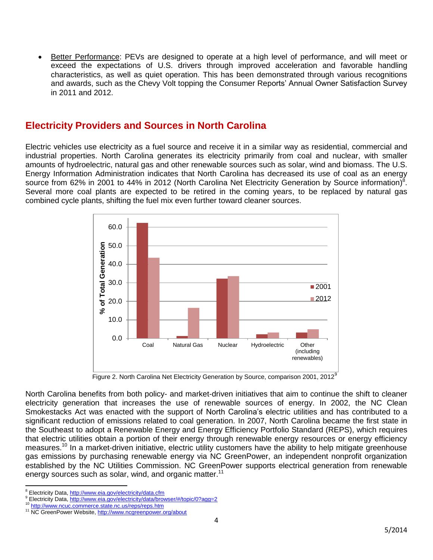Better Performance: PEVs are designed to operate at a high level of performance, and will meet or exceed the expectations of U.S. drivers through improved acceleration and favorable handling characteristics, as well as quiet operation. This has been demonstrated through various recognitions and awards, such as the Chevy Volt topping the Consumer Reports' Annual Owner Satisfaction Survey in 2011 and 2012.

## **Electricity Providers and Sources in North Carolina**

Electric vehicles use electricity as a fuel source and receive it in a similar way as residential, commercial and industrial properties. North Carolina generates its electricity primarily from coal and nuclear, with smaller amounts of hydroelectric, natural gas and other renewable sources such as solar, wind and biomass. The U.S. Energy Information Administration indicates that North Carolina has decreased its use of coal as an energy source from 62% in 2001 to 44% in 2012 (North Carolina Net Electricity Generation by Source information)<sup>8</sup>. Several more coal plants are expected to be retired in the coming years, to be replaced by natural gas combined cycle plants, shifting the fuel mix even further toward cleaner sources.



Figure 2. North Carolina Net Electricity Generation by Source, comparison 2001, 2012<sup>9</sup>

North Carolina benefits from both policy- and market-driven initiatives that aim to continue the shift to cleaner electricity generation that increases the use of renewable sources of energy. In 2002, the NC Clean Smokestacks Act was enacted with the support of North Carolina's electric utilities and has contributed to a significant reduction of emissions related to coal generation. In 2007, North Carolina became the first state in the Southeast to adopt a Renewable Energy and Energy Efficiency Portfolio Standard (REPS), which requires that electric utilities obtain a portion of their energy through renewable energy resources or energy efficiency measures.<sup>10</sup> In a market-driven initiative, electric utility customers have the ability to help mitigate greenhouse gas emissions by purchasing renewable energy via NC GreenPower, an independent nonprofit organization established by the NC Utilities Commission. NC GreenPower supports electrical generation from renewable energy sources such as solar, wind, and organic matter.<sup>11</sup>

 $\overline{\phantom{a}}$ <sup>8</sup> Electricity Data,<http://www.eia.gov/electricity/data.cfm>

<sup>9</sup> Electricity Data,<http://www.eia.gov/electricity/data/browser/#/topic/0?agg=2>

<http://www.ncuc.commerce.state.nc.us/reps/reps.htm>

<sup>&</sup>lt;sup>11</sup> NC GreenPower Website,<http://www.ncgreenpower.org/about>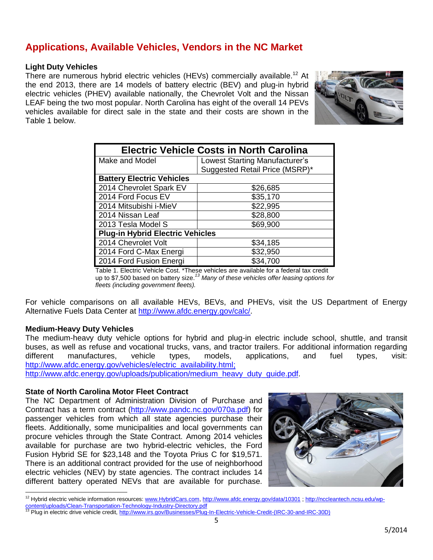# <span id="page-4-0"></span>**Applications, Available Vehicles, Vendors in the NC Market**

#### **Light Duty Vehicles**

There are numerous hybrid electric vehicles (HEVs) commercially available.<sup>12</sup> At the end 2013, there are 14 models of battery electric (BEV) and plug-in hybrid electric vehicles (PHEV) available nationally, the Chevrolet Volt and the Nissan LEAF being the two most popular. North Carolina has eight of the overall 14 PEVs vehicles available for direct sale in the state and their costs are shown in the Table 1 below.



| <b>Electric Vehicle Costs in North Carolina</b> |                                |  |  |  |  |
|-------------------------------------------------|--------------------------------|--|--|--|--|
| Make and Model                                  | Lowest Starting Manufacturer's |  |  |  |  |
|                                                 | Suggested Retail Price (MSRP)* |  |  |  |  |
| <b>Battery Electric Vehicles</b>                |                                |  |  |  |  |
| 2014 Chevrolet Spark EV                         | \$26,685                       |  |  |  |  |
| 2014 Ford Focus EV                              | \$35,170                       |  |  |  |  |
| 2014 Mitsubishi i-MieV                          | \$22,995                       |  |  |  |  |
| 2014 Nissan Leaf                                | \$28,800                       |  |  |  |  |
| 2013 Tesla Model S                              | \$69,900                       |  |  |  |  |
| <b>Plug-in Hybrid Electric Vehicles</b>         |                                |  |  |  |  |
| 2014 Chevrolet Volt                             | \$34,185                       |  |  |  |  |
| 2014 Ford C-Max Energi                          | \$32,950                       |  |  |  |  |
| 2014 Ford Fusion Energi                         | \$34,700                       |  |  |  |  |

Table 1. Electric Vehicle Cost. \*These vehicles are available for a federal tax credit up to \$7,500 based on battery size.*<sup>13</sup> Many of these vehicles offer leasing options for fleets (including government fleets).*

For vehicle comparisons on all available HEVs, BEVs, and PHEVs, visit the US Department of Energy Alternative Fuels Data Center at [http://www.afdc.energy.gov/calc/.](http://www.afdc.energy.gov/calc/)

#### **Medium-Heavy Duty Vehicles**

 $\overline{a}$ 

The medium-heavy duty vehicle options for hybrid and plug-in electric include school, shuttle, and transit buses, as well as refuse and vocational trucks, vans, and tractor trailers. For additional information regarding different manufactures, vehicle types, models, applications, and fuel types, visit: [http://www.afdc.energy.gov/vehicles/electric\\_availability.html;](http://www.afdc.energy.gov/vehicles/electric_availability.html)

[http://www.afdc.energy.gov/uploads/publication/medium\\_heavy\\_duty\\_guide.pdf.](http://www.afdc.energy.gov/uploads/publication/medium_heavy_duty_guide.pdf)

#### **State of North Carolina Motor Fleet Contract**

The NC Department of Administration Division of Purchase and Contract has a term contract [\(http://www.pandc.nc.gov/070a.pdf\)](http://www.pandc.nc.gov/070a.pdf) for passenger vehicles from which all state agencies purchase their fleets. Additionally, some municipalities and local governments can procure vehicles through the State Contract. Among 2014 vehicles available for purchase are two hybrid-electric vehicles, the Ford Fusion Hybrid SE for \$23,148 and the Toyota Prius C for \$19,571. There is an additional contract provided for the use of neighborhood electric vehicles (NEV) by state agencies. The contract includes 14 different battery operated NEVs that are available for purchase.



<sup>&</sup>lt;sup>12</sup> Hybrid electric vehicle information resources: [www.HybridCars.com,](http://www.hybridcars.com/)<http://www.afdc.energy.gov/data/10301>; [http://nccleantech.ncsu.edu/wp](http://nccleantech.ncsu.edu/wp-content/uploads/Clean-Transportation-Technology-Industry-Directory.pdf)[content/uploads/Clean-Transportation-Technology-Industry-Directory.pdf](http://nccleantech.ncsu.edu/wp-content/uploads/Clean-Transportation-Technology-Industry-Directory.pdf)

oontent/uploads/Clean-Transportation-Technology-muustry-Directory.pur<br><sup>13</sup> Plug in electric drive vehicle credit, <u>http://www.irs.gov/Businesses/Plug-In-Electric-Vehicle-Credit-(IRC-30-and-IRC-30D)</u><br>—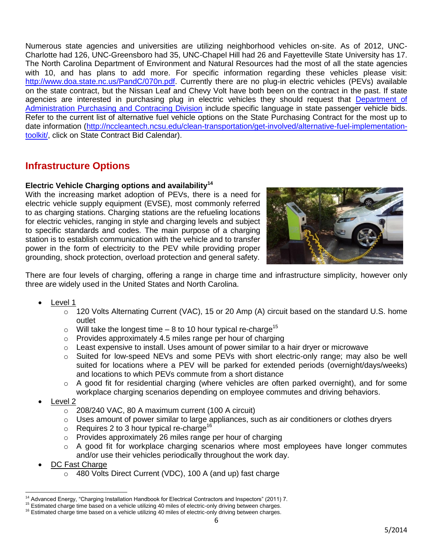Numerous state agencies and universities are utilizing neighborhood vehicles on-site. As of 2012, UNC-Charlotte had 126, UNC-Greensboro had 35, UNC-Chapel Hill had 26 and Fayetteville State University has 17. The North Carolina Department of Environment and Natural Resources had the most of all the state agencies with 10, and has plans to add more. For specific information regarding these vehicles please visit: [http://www.doa.state.nc.us/PandC/070n.pdf.](http://www.doa.state.nc.us/PandC/070n.pdf) Currently there are no plug-in electric vehicles (PEVs) available on the state contract, but the Nissan Leaf and Chevy Volt have both been on the contract in the past. If state agencies are interested in purchasing plug in electric vehicles they should request that [Department](http://www.doa.state.nc.us/pandc/assign.aspx) of [Administration Purchasing and Contracing Division](http://www.doa.state.nc.us/pandc/assign.aspx) include specific language in state passenger vehicle bids. Refer to the current list of alternative fuel vehicle options on the State Purchasing Contract for the most up to date information [\(http://nccleantech.ncsu.edu/clean-transportation/get-involved/alternative-fuel-implementation](http://nccleantech.ncsu.edu/clean-transportation/get-involved/alternative-fuel-implementation-toolkit/)[toolkit/,](http://nccleantech.ncsu.edu/clean-transportation/get-involved/alternative-fuel-implementation-toolkit/) click on State Contract Bid Calendar).

# <span id="page-5-0"></span>**Infrastructure Options**

#### **Electric Vehicle Charging options and availability<sup>14</sup>**

With the increasing market adoption of PEVs, there is a need for electric vehicle supply equipment (EVSE), most commonly referred to as charging stations. Charging stations are the refueling locations for electric vehicles, ranging in style and charging levels and subject to specific standards and codes. The main purpose of a charging station is to establish communication with the vehicle and to transfer power in the form of electricity to the PEV while providing proper grounding, shock protection, overload protection and general safety.



There are four levels of charging, offering a range in charge time and infrastructure simplicity, however only three are widely used in the United States and North Carolina.

- Level 1
	- $\circ$  120 Volts Alternating Current (VAC), 15 or 20 Amp (A) circuit based on the standard U.S. home outlet
	- $\circ$  Will take the longest time 8 to 10 hour typical re-charge<sup>15</sup>
	- $\circ$  Provides approximately 4.5 miles range per hour of charging
	- $\circ$  Least expensive to install. Uses amount of power similar to a hair dryer or microwave
	- $\circ$  Suited for low-speed NEVs and some PEVs with short electric-only range; may also be well suited for locations where a PEV will be parked for extended periods (overnight/days/weeks) and locations to which PEVs commute from a short distance
	- $\circ$  A good fit for residential charging (where vehicles are often parked overnight), and for some workplace charging scenarios depending on employee commutes and driving behaviors.
- Level 2
	- $\circ$  208/240 VAC, 80 A maximum current (100 A circuit)
	- $\circ$  Uses amount of power similar to large appliances, such as air conditioners or clothes dryers
	- $\circ$  Requires 2 to 3 hour typical re-charge<sup>16</sup>
	- o Provides approximately 26 miles range per hour of charging
	- $\circ$  A good fit for workplace charging scenarios where most employees have longer commutes and/or use their vehicles periodically throughout the work day.
- DC Fast Charge
	- o 480 Volts Direct Current (VDC), 100 A (and up) fast charge

 $\overline{a}$ <sup>14</sup> Advanced Energy, "Charging Installation Handbook for Electrical Contractors and Inspectors" (2011) 7.

<sup>15</sup> Estimated charge time based on a vehicle utilizing 40 miles of electric-only driving between charges.

<sup>&</sup>lt;sup>16</sup> Estimated charge time based on a vehicle utilizing 40 miles of electric-only driving between charges.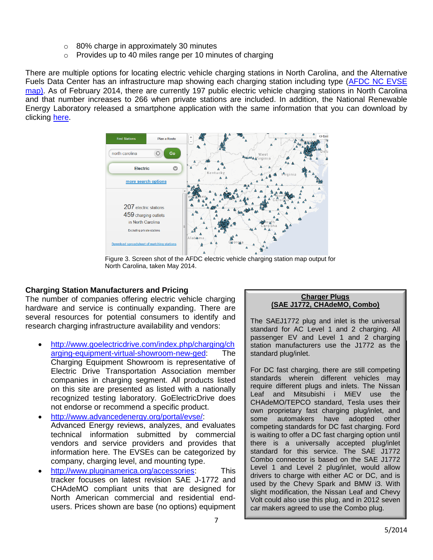- o 80% charge in approximately 30 minutes
- o Provides up to 40 miles range per 10 minutes of charging

There are multiple options for locating electric vehicle charging stations in North Carolina, and the Alternative Fuels Data Center has an infrastructure map showing each charging station including type [\(AFDC NC EVSE](http://www.afdc.energy.gov/locator/stations/results?utf8=%E2%9C%93&location=North+Carolina&filtered=true&fuel=ELEC&owner=all&payment=all&ev_level1=true&ev_level2=true&ev_dc_fast=true&radius_miles=5)  [map\)](http://www.afdc.energy.gov/locator/stations/results?utf8=%E2%9C%93&location=North+Carolina&filtered=true&fuel=ELEC&owner=all&payment=all&ev_level1=true&ev_level2=true&ev_dc_fast=true&radius_miles=5). As of February 2014, there are currently 197 public electric vehicle charging stations in North Carolina and that number increases to 266 when private stations are included. In addition, the National Renewable Energy Laboratory released a smartphone application with the same information that you can download by clicking [here.](https://itunes.apple.com/us/app/alternative-fueling-station/id718577947)



Figure 3. Screen shot of the AFDC electric vehicle charging station map output for North Carolina, taken May 2014.

#### **Charging Station Manufacturers and Pricing**

The number of companies offering electric vehicle charging hardware and service is continually expanding. There are several resources for potential consumers to identify and research charging infrastructure availability and vendors:

- [http://www.goelectricdrive.com/index.php/charging/ch](http://www.goelectricdrive.com/index.php/charging/charging-equipment-virtual-showroom-new-ged) [arging-equipment-virtual-showroom-new-ged:](http://www.goelectricdrive.com/index.php/charging/charging-equipment-virtual-showroom-new-ged) The Charging Equipment Showroom is representative of Electric Drive Transportation Association member companies in charging segment. All products listed on this site are presented as listed with a nationally recognized testing laboratory. GoElectricDrive does not endorse or recommend a specific product.
- [http://www.advancedenergy.org/portal/evse/:](http://www.advancedenergy.org/portal/evse/) Advanced Energy reviews, analyzes, and evaluates technical information submitted by commercial vendors and service providers and provides that information here. The EVSEs can be categorized by company, charging level, and mounting type.
- [http://www.pluginamerica.org/accessories:](http://www.pluginamerica.org/accessories) This tracker focuses on latest revision SAE J-1772 and CHAdeMO compliant units that are designed for North American commercial and residential endusers. Prices shown are base (no options) equipment

#### **Charger Plugs (SAE J1772, CHAdeMO, Combo)**

station manufacturers use the J1772 as the **it is important to locate the EVSE as close as close as close as close as close as close as close as close as c** The SAEJ1772 plug and inlet is the universal standard for AC Level 1 and 2 charging. All passenger EV and Level 1 and 2 charging

 $\sigma$  the power supply as power supply as power supply as  $\sigma$ For DC fast charging, there are still competing standards wherein different vehicles may require different plugs and inlets. The Nissan Leaf and Mitsubishi i MiEV use the CHAdeMO/TEPCO standard, Tesla uses their own proprietary fast charging plug/inlet, and some automakers have adopted other competing standards for DC fast charging. Ford is waiting to offer a DC fast charging option until there is a universally accepted plug/inlet standard for this service. The SAE J1772 Combo connector is based on the SAE J1772 Level 1 and Level 2 plug/inlet, would allow drivers to charge with either AC or DC, and is used by the Chevy Spark and BMW i3. With slight modification, the Nissan Leaf and Chevy Volt could also use this plug, and in 2012 seven car makers agreed to use the Combo plug.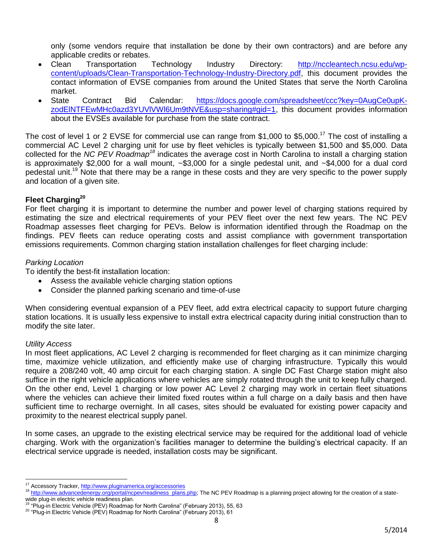only (some vendors require that installation be done by their own contractors) and are before any applicable credits or rebates.

- Clean Transportation Technology Industry Directory: [http://nccleantech.ncsu.edu/wp](http://nccleantech.ncsu.edu/wp-content/uploads/Clean-Transportation-Technology-Industry-Directory.pdf)[content/uploads/Clean-Transportation-Technology-Industry-Directory.pdf,](http://nccleantech.ncsu.edu/wp-content/uploads/Clean-Transportation-Technology-Industry-Directory.pdf) this document provides the contact information of EVSE companies from around the United States that serve the North Carolina market.
- State Contract Bid Calendar: [https://docs.google.com/spreadsheet/ccc?key=0AugCe0upK](https://docs.google.com/spreadsheet/ccc?key=0AugCe0upK-zodElNTFEwMHc0azd3YUVlVWl6Um9tNVE&usp=sharing#gid=1)[zodElNTFEwMHc0azd3YUVlVWl6Um9tNVE&usp=sharing#gid=1,](https://docs.google.com/spreadsheet/ccc?key=0AugCe0upK-zodElNTFEwMHc0azd3YUVlVWl6Um9tNVE&usp=sharing#gid=1) this document provides information about the EVSEs available for purchase from the state contract.

The cost of level 1 or 2 EVSE for commercial use can range from \$1,000 to \$5,000.<sup>17</sup> The cost of installing a commercial AC Level 2 charging unit for use by fleet vehicles is typically between \$1,500 and \$5,000. Data collected for the *NC PEV Roadmap<sup>18</sup>* indicates the average cost in North Carolina to install a charging station is approximately \$2,000 for a wall mount, ~\$3,000 for a single pedestal unit, and ~\$4,000 for a dual cord pedestal unit.<sup>19</sup> Note that there may be a range in these costs and they are very specific to the power supply and location of a given site.

#### **Fleet Charging<sup>20</sup>**

For fleet charging it is important to determine the number and power level of charging stations required by estimating the size and electrical requirements of your PEV fleet over the next few years. The NC PEV Roadmap assesses fleet charging for PEVs. Below is information identified through the Roadmap on the findings. PEV fleets can reduce operating costs and assist compliance with government transportation emissions requirements. Common charging station installation challenges for fleet charging include:

#### *Parking Location*

To identify the best-fit installation location:

- Assess the available vehicle charging station options
- Consider the planned parking scenario and time-of-use

When considering eventual expansion of a PEV fleet, add extra electrical capacity to support future charging station locations. It is usually less expensive to install extra electrical capacity during initial construction than to modify the site later.

#### *Utility Access*

 $\overline{a}$ 

In most fleet applications, AC Level 2 charging is recommended for fleet charging as it can minimize charging time, maximize vehicle utilization, and efficiently make use of charging infrastructure. Typically this would require a 208/240 volt, 40 amp circuit for each charging station. A single DC Fast Charge station might also suffice in the right vehicle applications where vehicles are simply rotated through the unit to keep fully charged. On the other end, Level 1 charging or low power AC Level 2 charging may work in certain fleet situations where the vehicles can achieve their limited fixed routes within a full charge on a daily basis and then have sufficient time to recharge overnight. In all cases, sites should be evaluated for existing power capacity and proximity to the nearest electrical supply panel.

In some cases, an upgrade to the existing electrical service may be required for the additional load of vehicle charging. Work with the organization's facilities manager to determine the building's electrical capacity. If an electrical service upgrade is needed, installation costs may be significant.

<sup>&</sup>lt;sup>17</sup> Accessory Tracker[, http://www.pluginamerica.org/accessories](http://www.pluginamerica.org/accessories)

<sup>&</sup>lt;sup>18</sup> [http://www.advancedenergy.org/portal/ncpev/readiness\\_plans.php;](http://www.advancedenergy.org/portal/ncpev/readiness_plans.php) The NC PEV Roadmap is a planning project allowing for the creation of a statewide plug-in electric vehicle readiness plan.

<sup>19</sup> "Plug-in Electric Vehicle (PEV) Roadmap for North Carolina" (February 2013), 55, 63

<sup>&</sup>lt;sup>20</sup> "Plug-in Electric Vehicle (PEV) Roadmap for North Carolina" (February 2013), 61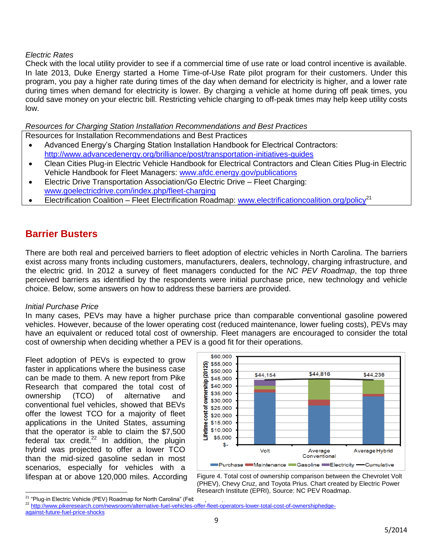#### *Electric Rates*

Check with the local utility provider to see if a commercial time of use rate or load control incentive is available. In late 2013, Duke Energy started a Home Time-of-Use Rate pilot program for their customers. Under this program, you pay a higher rate during times of the day when demand for electricity is higher, and a lower rate during times when demand for electricity is lower. By charging a vehicle at home during off peak times, you could save money on your electric bill. Restricting vehicle charging to off-peak times may help keep utility costs low.

*Resources for Charging Station Installation Recommendations and Best Practices*

Resources for Installation Recommendations and Best Practices

- Advanced Energy's Charging Station Installation Handbook for Electrical Contractors: <http://www.advancedenergy.org/brilliance/post/transportation-initiatives-guides>
- Clean Cities Plug-in Electric Vehicle Handbook for Electrical Contractors and Clean Cities Plug-in Electric Vehicle Handbook for Fleet Managers: [www.afdc.energy.gov/publications](file:///C:/Users/kdrye/AppData/Local/Microsoft/Windows/Temporary%20Internet%20Files/Content.Outlook/CR8CI4F5/www.afdc.energy.gov/publications)
- Electric Drive Transportation Association/Go Electric Drive Fleet Charging: [www.goelectricdrive.com/index.php/fleet-charging](file:///C:/Users/kdrye/AppData/Local/Microsoft/Windows/Temporary%20Internet%20Files/Content.Outlook/CR8CI4F5/www.goelectricdrive.com/index.php/fleet-charging)
- Electrification Coalition Fleet Electrification Roadmap: [www.electrificationcoalition.org/policy](file:///C:/Users/kdrye/AppData/Local/Microsoft/Windows/Temporary%20Internet%20Files/Content.Outlook/CR8CI4F5/www.electrificationcoalition.org/policy)<sup>21</sup>

## <span id="page-8-0"></span>**Barrier Busters**

There are both real and perceived barriers to fleet adoption of electric vehicles in North Carolina. The barriers exist across many fronts including customers, manufacturers, dealers, technology, charging infrastructure, and the electric grid. In 2012 a survey of fleet managers conducted for the *NC PEV Roadmap*, the top three perceived barriers as identified by the respondents were initial purchase price, new technology and vehicle choice. Below, some answers on how to address these barriers are provided.

#### *Initial Purchase Price*

In many cases, PEVs may have a higher purchase price than comparable conventional gasoline powered vehicles. However, because of the lower operating cost (reduced maintenance, lower fueling costs), PEVs may have an equivalent or reduced total cost of ownership. Fleet managers are encouraged to consider the total cost of ownership when deciding whether a PEV is a good fit for their operations.

Fleet adoption of PEVs is expected to grow faster in applications where the business case can be made to them. A new report from Pike Research that compared the total cost of ownership (TCO) of alternative and conventional fuel vehicles, showed that BEVs offer the lowest TCO for a majority of fleet applications in the United States, assuming that the operator is able to claim the \$7,500 federal tax credit. $22$  In addition, the plugin hybrid was projected to offer a lower TCO than the mid-sized gasoline sedan in most scenarios, especially for vehicles with a lifespan at or above 120,000 miles. According



Figure 4. Total cost of ownership comparison between the Chevrolet Volt (PHEV), Chevy Cruz, and Toyota Prius. Chart created by Electric Power Research Institute (EPRI), Source: NC PEV Roadmap.

 $\overline{a}$ <sup>21</sup> "Plug-in Electric Vehicle (PEV) Roadmap for North Carolina" (Fet

<sup>22</sup> [http://www.pikeresearch.com/newsroom/alternative-fuel-vehicles-offer-fleet-operators-lower-total-cost-of-ownershiphedge](http://www.pikeresearch.com/newsroom/alternative-fuel-vehicles-offer-fleet-operators-lower-total-cost-of-ownershiphedge-against-future-fuel-price-shocks)[against-future-fuel-price-shocks](http://www.pikeresearch.com/newsroom/alternative-fuel-vehicles-offer-fleet-operators-lower-total-cost-of-ownershiphedge-against-future-fuel-price-shocks)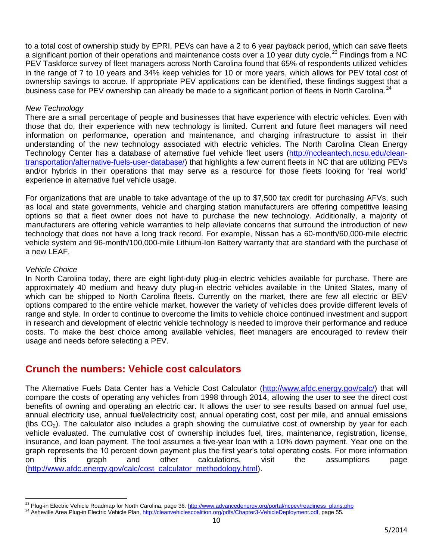to a total cost of ownership study by EPRI, PEVs can have a 2 to 6 year payback period, which can save fleets a significant portion of their operations and maintenance costs over a 10 year duty cycle.<sup>23</sup> Findings from a NC PEV Taskforce survey of fleet managers across North Carolina found that 65% of respondents utilized vehicles in the range of 7 to 10 years and 34% keep vehicles for 10 or more years, which allows for PEV total cost of ownership savings to accrue. If appropriate PEV applications can be identified, these findings suggest that a business case for PEV ownership can already be made to a significant portion of fleets in North Carolina.<sup>24</sup>

#### *New Technology*

There are a small percentage of people and businesses that have experience with electric vehicles. Even with those that do, their experience with new technology is limited. Current and future fleet managers will need information on performance, operation and maintenance, and charging infrastructure to assist in their understanding of the new technology associated with electric vehicles. The North Carolina Clean Energy Technology Center has a database of alternative fuel vehicle fleet users [\(http://nccleantech.ncsu.edu/clean](http://nccleantech.ncsu.edu/clean-transportation/alternative-fuels-user-database/)[transportation/alternative-fuels-user-database/\)](http://nccleantech.ncsu.edu/clean-transportation/alternative-fuels-user-database/) that highlights a few current fleets in NC that are utilizing PEVs and/or hybrids in their operations that may serve as a resource for those fleets looking for 'real world' experience in alternative fuel vehicle usage.

For organizations that are unable to take advantage of the up to \$7,500 tax credit for purchasing AFVs, such as local and state governments, vehicle and charging station manufacturers are offering competitive leasing options so that a fleet owner does not have to purchase the new technology. Additionally, a majority of manufacturers are offering vehicle warranties to help alleviate concerns that surround the introduction of new technology that does not have a long track record. For example, Nissan has a 60-month/60,000-mile electric vehicle system and 96-month/100,000-mile Lithium-Ion Battery warranty that are standard with the purchase of a new LEAF.

#### *Vehicle Choice*

 $\overline{\phantom{a}}$ 

In North Carolina today, there are eight light-duty plug-in electric vehicles available for purchase. There are approximately 40 medium and heavy duty plug-in electric vehicles available in the United States, many of which can be shipped to North Carolina fleets. Currently on the market, there are few all electric or BEV options compared to the entire vehicle market, however the variety of vehicles does provide different levels of range and style. In order to continue to overcome the limits to vehicle choice continued investment and support in research and development of electric vehicle technology is needed to improve their performance and reduce costs. To make the best choice among available vehicles, fleet managers are encouraged to review their usage and needs before selecting a PEV.

## <span id="page-9-0"></span>**Crunch the numbers: Vehicle cost calculators**

The Alternative Fuels Data Center has a Vehicle Cost Calculator [\(http://www.afdc.energy.gov/calc/\)](http://www.afdc.energy.gov/calc/) that will compare the costs of operating any vehicles from 1998 through 2014, allowing the user to see the direct cost benefits of owning and operating an electric car. It allows the user to see results based on annual fuel use, annual electricity use, annual fuel/electricity cost, annual operating cost, cost per mile, and annual emissions (lbs  $CO<sub>2</sub>$ ). The calculator also includes a graph showing the cumulative cost of ownership by year for each vehicle evaluated. The cumulative cost of ownership includes fuel, tires, maintenance, registration, license, insurance, and loan payment. The tool assumes a five-year loan with a 10% down payment. Year one on the graph represents the 10 percent down payment plus the first year's total operating costs. For more information on this graph and other calculations, visit the assumptions page [\(http://www.afdc.energy.gov/calc/cost\\_calculator\\_methodology.html\)](http://www.afdc.energy.gov/calc/cost_calculator_methodology.html).

<sup>&</sup>lt;sup>23</sup> Plug-in Electric Vehicle Roadmap for North Carolina, page 36[. http://www.advancedenergy.org/portal/ncpev/readiness\\_plans.php](http://www.advancedenergy.org/portal/ncpev/readiness_plans.php)

<sup>&</sup>lt;sup>24</sup> Asheville Area Plug-in Electric Vehicle Plan[, http://cleanvehiclescoalition.org/pdfs/Chapter3-VehicleDeployment.pdf,](http://cleanvehiclescoalition.org/pdfs/Chapter3-VehicleDeployment.pdf) page 55.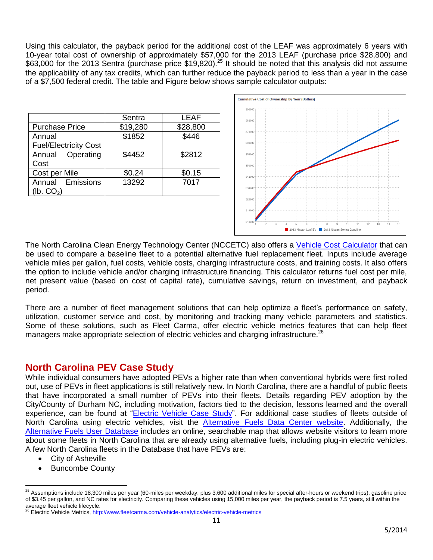Using this calculator, the payback period for the additional cost of the LEAF was approximately 6 years with 10-year total cost of ownership of approximately \$57,000 for the 2013 LEAF (purchase price \$28,800) and \$63,000 for the 2013 Sentra (purchase price \$19,820).<sup>25</sup> It should be noted that this analysis did not assume the applicability of any tax credits, which can further reduce the payback period to less than a year in the case of a \$7,500 federal credit. The table and Figure below shows sample calculator outputs:

|                              | Sentra   | LEAF     |
|------------------------------|----------|----------|
| <b>Purchase Price</b>        | \$19,280 | \$28,800 |
| Annual                       | \$1852   | \$446    |
| <b>Fuel/Electricity Cost</b> |          |          |
| Annual Operating             | \$4452   | \$2812   |
| Cost                         |          |          |
| Cost per Mile                | \$0.24   | \$0.15   |
| Annual Emissions             | 13292    | 7017     |
| lb. CO <sub>2</sub>          |          |          |



The North Carolina Clean Energy Technology Center (NCCETC) also offers a [Vehicle Cost Calculator](http://nccleantech.ncsu.edu/wp-content/uploads/Alternative-Fuel-Vehicle-Cost-Calculator1.xlsx) that can be used to compare a baseline fleet to a potential alternative fuel replacement fleet. Inputs include average vehicle miles per gallon, fuel costs, vehicle costs, charging infrastructure costs, and training costs. It also offers the option to include vehicle and/or charging infrastructure financing. This calculator returns fuel cost per mile, net present value (based on cost of capital rate), cumulative savings, return on investment, and payback period.

There are a number of fleet management solutions that can help optimize a fleet's performance on safety, utilization, customer service and cost, by monitoring and tracking many vehicle parameters and statistics. Some of these solutions, such as Fleet Carma, offer electric vehicle metrics features that can help fleet managers make appropriate selection of electric vehicles and charging infrastructure.<sup>26</sup>

## <span id="page-10-0"></span>**North Carolina PEV Case Study**

While individual consumers have adopted PEVs a higher rate than when conventional hybrids were first rolled out, use of PEVs in fleet applications is still relatively new. In North Carolina, there are a handful of public fleets that have incorporated a small number of PEVs into their fleets. Details regarding PEV adoption by the City/County of Durham NC, including motivation, factors tied to the decision, lessons learned and the overall experience, can be found at ["Electric Vehicle](http://nccleantech.ncsu.edu/wp-content/uploads/PEV-Case-Study2.pdf) Case Study". For additional case studies of fleets outside of North Carolina using electric vehicles, visit the [Alternative Fuels Data Center website.](http://www.afdc.energy.gov/case) Additionally, the [Alternative Fuels User Database](http://ncsc.ncsu.edu/index.php/clean-transportation/alternative-fuels-user-database/) includes an online, searchable map that allows website visitors to learn more about some fleets in North Carolina that are already using alternative fuels, including plug-in electric vehicles. A few North Carolina fleets in the Database that have PEVs are:

- City of Asheville
- Buncombe County

 $\overline{\phantom{a}}$  $^{25}$  Assumptions include 18,300 miles per year (60-miles per weekday, plus 3,600 additional miles for special after-hours or weekend trips), gasoline price of \$3.45 per gallon, and NC rates for electricity. Comparing these vehicles using 15,000 miles per year, the payback period is 7.5 years, still within the

average fleet vehicle lifecycle.<br><sup>26</sup> Electric Vehicle Metrics, <u>http://www.fleetcarma.com/vehicle-analytics/electric-vehicle-metrics</u>